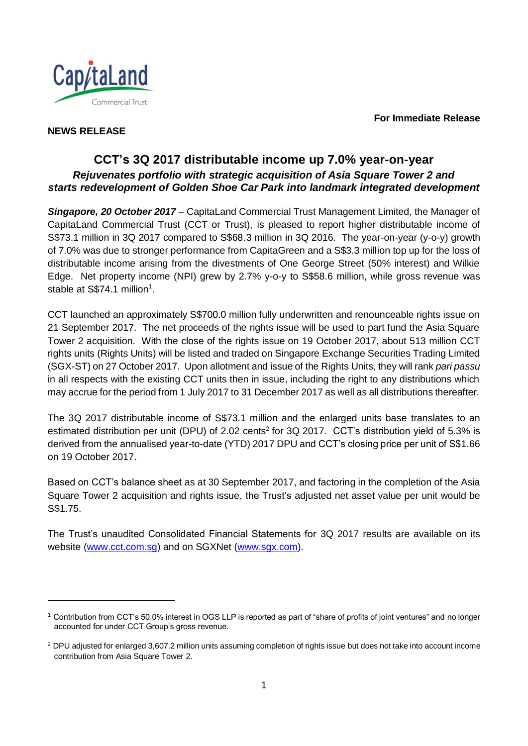**For Immediate Release**



# **NEWS RELEASE**

l

# **CCT's 3Q 2017 distributable income up 7.0% year-on-year** *Rejuvenates portfolio with strategic acquisition of Asia Square Tower 2 and starts redevelopment of Golden Shoe Car Park into landmark integrated development*

*Singapore, 20 October 2017* – CapitaLand Commercial Trust Management Limited, the Manager of CapitaLand Commercial Trust (CCT or Trust), is pleased to report higher distributable income of S\$73.1 million in 3Q 2017 compared to S\$68.3 million in 3Q 2016. The year-on-year (y-o-y) growth of 7.0% was due to stronger performance from CapitaGreen and a S\$3.3 million top up for the loss of distributable income arising from the divestments of One George Street (50% interest) and Wilkie Edge. Net property income (NPI) grew by 2.7% y-o-y to S\$58.6 million, while gross revenue was stable at  $S$74.1$  million<sup>1</sup>.

CCT launched an approximately S\$700.0 million fully underwritten and renounceable rights issue on 21 September 2017. The net proceeds of the rights issue will be used to part fund the Asia Square Tower 2 acquisition. With the close of the rights issue on 19 October 2017, about 513 million CCT rights units (Rights Units) will be listed and traded on Singapore Exchange Securities Trading Limited (SGX-ST) on 27 October 2017. Upon allotment and issue of the Rights Units, they will rank *pari passu* in all respects with the existing CCT units then in issue, including the right to any distributions which may accrue for the period from 1 July 2017 to 31 December 2017 as well as all distributions thereafter.

The 3Q 2017 distributable income of S\$73.1 million and the enlarged units base translates to an estimated distribution per unit (DPU) of 2.02 cents<sup>2</sup> for 3Q 2017. CCT's distribution yield of 5.3% is derived from the annualised year-to-date (YTD) 2017 DPU and CCT's closing price per unit of S\$1.66 on 19 October 2017.

Based on CCT's balance sheet as at 30 September 2017, and factoring in the completion of the Asia Square Tower 2 acquisition and rights issue, the Trust's adjusted net asset value per unit would be S\$1.75.

The Trust's unaudited Consolidated Financial Statements for 3Q 2017 results are available on its website [\(www.cct.com.sg\)](http://www.cct.com.sg/) and on SGXNet [\(www.sgx.com\)](http://www.sgx.com/).

 $1$  Contribution from CCT's 50.0% interest in OGS LLP is reported as part of "share of profits of joint ventures" and no longer accounted for under CCT Group's gross revenue.

<sup>2</sup> DPU adjusted for enlarged 3,607.2 million units assuming completion of rights issue but does not take into account income contribution from Asia Square Tower 2.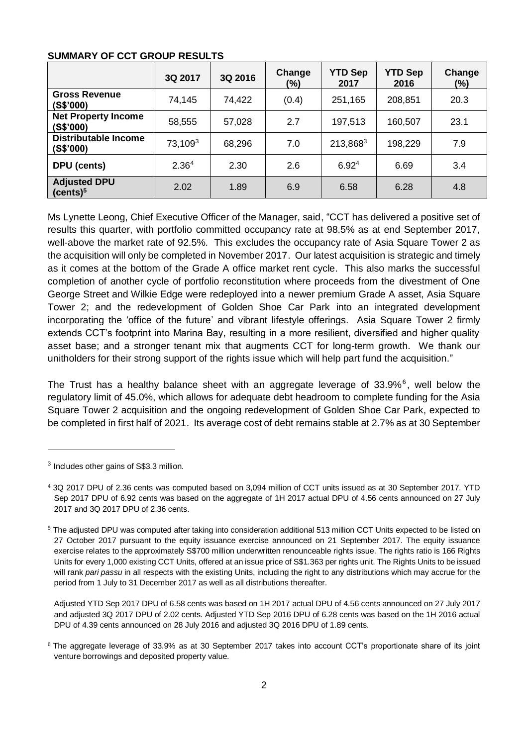#### **SUMMARY OF CCT GROUP RESULTS**

|                                             | 3Q 2017             | 3Q 2016 | Change<br>(%) | <b>YTD Sep</b><br>2017 | <b>YTD Sep</b><br>2016 | Change<br>$(\%)$ |
|---------------------------------------------|---------------------|---------|---------------|------------------------|------------------------|------------------|
| <b>Gross Revenue</b><br>(S\$'000)           | 74,145              | 74,422  | (0.4)         | 251,165                | 208,851                | 20.3             |
| <b>Net Property Income</b><br>(S\$'000)     | 58,555              | 57,028  | 2.7           | 197,513                | 160,507                | 23.1             |
| Distributable Income<br>(S\$'000)           | 73,109 <sup>3</sup> | 68,296  | 7.0           | 213,8683               | 198,229                | 7.9              |
| DPU (cents)                                 | 2.36 <sup>4</sup>   | 2.30    | 2.6           | 6.92 <sup>4</sup>      | 6.69                   | 3.4              |
| <b>Adjusted DPU</b><br>(cents) <sup>5</sup> | 2.02                | 1.89    | 6.9           | 6.58                   | 6.28                   | 4.8              |

<span id="page-1-1"></span><span id="page-1-0"></span>Ms Lynette Leong, Chief Executive Officer of the Manager, said, "CCT has delivered a positive set of results this quarter, with portfolio committed occupancy rate at 98.5% as at end September 2017, well-above the market rate of 92.5%. This excludes the occupancy rate of Asia Square Tower 2 as the acquisition will only be completed in November 2017. Our latest acquisition is strategic and timely as it comes at the bottom of the Grade A office market rent cycle. This also marks the successful completion of another cycle of portfolio reconstitution where proceeds from the divestment of One George Street and Wilkie Edge were redeployed into a newer premium Grade A asset, Asia Square Tower 2; and the redevelopment of Golden Shoe Car Park into an integrated development incorporating the 'office of the future' and vibrant lifestyle offerings. Asia Square Tower 2 firmly extends CCT's footprint into Marina Bay, resulting in a more resilient, diversified and higher quality asset base; and a stronger tenant mix that augments CCT for long-term growth. We thank our unitholders for their strong support of the rights issue which will help part fund the acquisition."

The Trust has a healthy balance sheet with an aggregate leverage of  $33.9\%$ <sup>6</sup>, well below the regulatory limit of 45.0%, which allows for adequate debt headroom to complete funding for the Asia Square Tower 2 acquisition and the ongoing redevelopment of Golden Shoe Car Park, expected to be completed in first half of 2021. Its average cost of debt remains stable at 2.7% as at 30 September

l

Adjusted YTD Sep 2017 DPU of 6.58 cents was based on 1H 2017 actual DPU of 4.56 cents announced on 27 July 2017 and adjusted 3Q 2017 DPU of 2.02 cents. Adjusted YTD Sep 2016 DPU of 6.28 cents was based on the 1H 2016 actual DPU of 4.39 cents announced on 28 July 2016 and adjusted 3Q 2016 DPU of 1.89 cents.

<sup>3</sup> Includes other gains of S\$3.3 million.

<sup>4</sup> 3Q 2017 DPU of 2.36 cents was computed based on 3,094 million of CCT units issued as at 30 September 2017. YTD Sep 2017 DPU of 6.92 cents was based on the aggregate of 1H 2017 actual DPU of 4.56 cents announced on 27 July 2017 and 3Q 2017 DPU of 2.36 cents.

<sup>5</sup> The adjusted DPU was computed after taking into consideration additional 513 million CCT Units expected to be listed on 27 October 2017 pursuant to the equity issuance exercise announced on 21 September 2017. The equity issuance exercise relates to the approximately S\$700 million underwritten renounceable rights issue. The rights ratio is 166 Rights Units for every 1,000 existing CCT Units, offered at an issue price of S\$1.363 per rights unit. The Rights Units to be issued will rank *pari passu* in all respects with the existing Units, including the right to any distributions which may accrue for the period from 1 July to 31 December 2017 as well as all distributions thereafter.

<sup>&</sup>lt;sup>6</sup> The aggregate leverage of 33.9% as at 30 September 2017 takes into account CCT's proportionate share of its joint venture borrowings and deposited property value.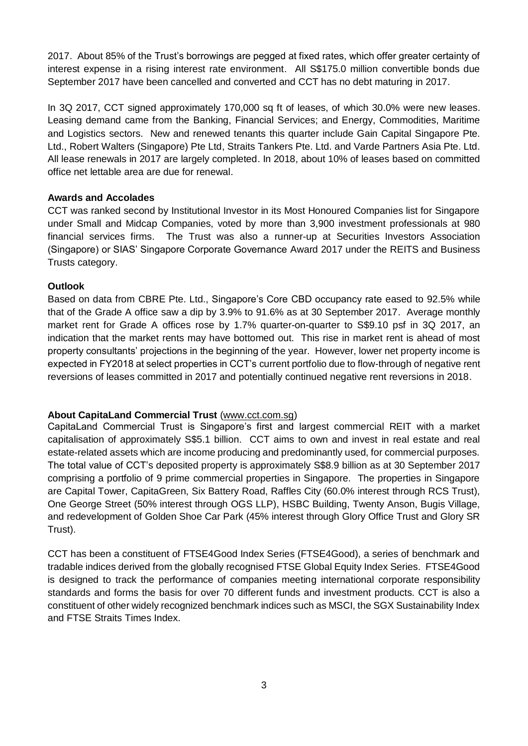2017. About 85% of the Trust's borrowings are pegged at fixed rates, which offer greater certainty of interest expense in a rising interest rate environment. All S\$175.0 million convertible bonds due September 2017 have been cancelled and converted and CCT has no debt maturing in 2017.

In 3Q 2017, CCT signed approximately 170,000 sq ft of leases, of which 30.0% were new leases. Leasing demand came from the Banking, Financial Services; and Energy, Commodities, Maritime and Logistics sectors. New and renewed tenants this quarter include Gain Capital Singapore Pte. Ltd., Robert Walters (Singapore) Pte Ltd, Straits Tankers Pte. Ltd. and Varde Partners Asia Pte. Ltd. All lease renewals in 2017 are largely completed. In 2018, about 10% of leases based on committed office net lettable area are due for renewal.

#### **Awards and Accolades**

CCT was ranked second by Institutional Investor in its Most Honoured Companies list for Singapore under Small and Midcap Companies, voted by more than 3,900 investment professionals at 980 financial services firms. The Trust was also a runner-up at Securities Investors Association (Singapore) or SIAS' Singapore Corporate Governance Award 2017 under the REITS and Business Trusts category.

### **Outlook**

Based on data from CBRE Pte. Ltd., Singapore's Core CBD occupancy rate eased to 92.5% while that of the Grade A office saw a dip by 3.9% to 91.6% as at 30 September 2017. Average monthly market rent for Grade A offices rose by 1.7% quarter-on-quarter to S\$9.10 psf in 3Q 2017, an indication that the market rents may have bottomed out. This rise in market rent is ahead of most property consultants' projections in the beginning of the year. However, lower net property income is expected in FY2018 at select properties in CCT's current portfolio due to flow-through of negative rent reversions of leases committed in 2017 and potentially continued negative rent reversions in 2018.

## **About CapitaLand Commercial Trust** (www.cct.com.sg)

CapitaLand Commercial Trust is Singapore's first and largest commercial REIT with a market capitalisation of approximately S\$5.1 billion. CCT aims to own and invest in real estate and real estate-related assets which are income producing and predominantly used, for commercial purposes. The total value of CCT's deposited property is approximately S\$8.9 billion as at 30 September 2017 comprising a portfolio of 9 prime commercial properties in Singapore. The properties in Singapore are Capital Tower, CapitaGreen, Six Battery Road, Raffles City (60.0% interest through RCS Trust), One George Street (50% interest through OGS LLP), HSBC Building, Twenty Anson, Bugis Village, and redevelopment of Golden Shoe Car Park (45% interest through Glory Office Trust and Glory SR Trust).

CCT has been a constituent of FTSE4Good Index Series (FTSE4Good), a series of benchmark and tradable indices derived from the globally recognised FTSE Global Equity Index Series. FTSE4Good is designed to track the performance of companies meeting international corporate responsibility standards and forms the basis for over 70 different funds and investment products. CCT is also a constituent of other widely recognized benchmark indices such as MSCI, the SGX Sustainability Index and FTSE Straits Times Index.